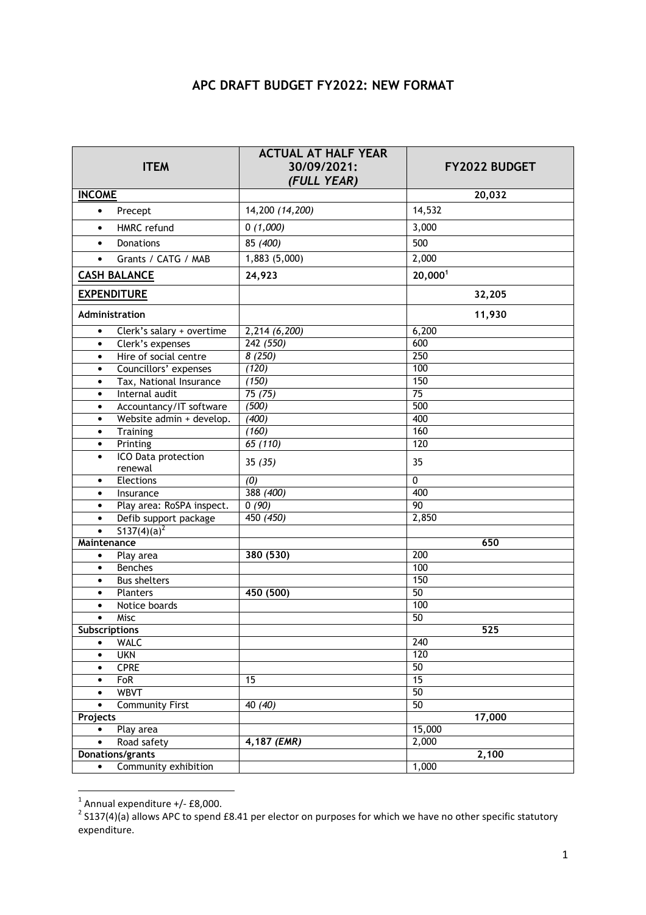## **APC DRAFT BUDGET FY2022: NEW FORMAT**

| <b>ITEM</b>                                 | <b>ACTUAL AT HALF YEAR</b><br>30/09/2021:<br>(FULL YEAR) | <b>FY2022 BUDGET</b> |
|---------------------------------------------|----------------------------------------------------------|----------------------|
| <b>INCOME</b>                               |                                                          | 20,032               |
| Precept<br>$\bullet$                        | 14,200 (14,200)                                          | 14,532               |
| HMRC refund<br>$\bullet$                    | 0(1,000)                                                 | 3,000                |
| <b>Donations</b>                            | 85 (400)                                                 | 500                  |
| Grants / CATG / MAB<br>$\bullet$            | 1,883 (5,000)                                            | 2,000                |
| <b>CASH BALANCE</b>                         | 24,923                                                   | 20,000 <sup>1</sup>  |
| <b>EXPENDITURE</b>                          |                                                          | 32,205               |
| Administration                              |                                                          | 11,930               |
| Clerk's salary + overtime<br>$\bullet$      | 2,214 (6,200)                                            | 6,200                |
| Clerk's expenses<br>$\bullet$               | 242(550)                                                 | 600                  |
| Hire of social centre<br>$\bullet$          | 8(250)                                                   | 250                  |
| Councillors' expenses<br>$\bullet$          | (120)                                                    | 100                  |
| Tax, National Insurance<br>$\bullet$        | (150)                                                    | 150                  |
| Internal audit<br>$\bullet$                 | 75 (75)                                                  | 75                   |
| Accountancy/IT software<br>$\bullet$        | (500)                                                    | 500                  |
| Website admin + develop.<br>$\bullet$       | (400)                                                    | 400                  |
| Training<br>$\bullet$                       | (160)                                                    | 160                  |
| Printing<br>$\bullet$                       | 65(110)                                                  | 120                  |
| ICO Data protection<br>$\bullet$<br>renewal | 35(35)                                                   | 35                   |
| Elections<br>$\bullet$                      | (0)                                                      | 0                    |
| Insurance<br>$\bullet$                      | 388 (400)                                                | 400                  |
| Play area: RoSPA inspect.<br>$\bullet$      | 0(90)                                                    | $\overline{90}$      |
| Defib support package<br>٠                  | 450 $(450)$                                              | 2,850                |
| $5137(4)(a)^2$<br>$\bullet$                 |                                                          |                      |
| Maintenance                                 |                                                          | 650                  |
| Play area<br>$\bullet$                      | 380 (530)                                                | 200                  |
| <b>Benches</b><br>$\bullet$                 |                                                          | 100                  |
| <b>Bus shelters</b><br>$\bullet$            |                                                          | 150                  |
| Planters<br>٠                               | 450 (500)                                                | 50                   |
| Notice boards<br>$\bullet$                  |                                                          | 100                  |
| Misc<br>$\bullet$                           |                                                          | $\overline{50}$      |
| Subscriptions                               |                                                          | 525                  |
| <b>WALC</b><br>$\bullet$                    |                                                          | 240                  |
| <b>UKN</b><br>٠                             |                                                          | 120                  |
| <b>CPRE</b><br>$\bullet$                    |                                                          | 50                   |
| FoR<br>$\bullet$                            | 15                                                       | 15                   |
| <b>WBVT</b><br>$\bullet$                    |                                                          | 50                   |
| <b>Community First</b><br>$\bullet$         | 40 (40)                                                  | 50                   |
| Projects                                    |                                                          | 17,000               |
| Play area<br>$\bullet$                      |                                                          | 15,000               |
| Road safety<br>$\bullet$                    | 4,187 (EMR)                                              | 2,000                |
| <b>Donations/grants</b>                     |                                                          | 2,100                |
| Community exhibition<br>$\bullet$           |                                                          | 1,000                |

 1 Annual expenditure +/- £8,000. 2 S137(4)(a) allows APC to spend £8.41 per elector on purposes for which we have no other specific statutory expenditure.